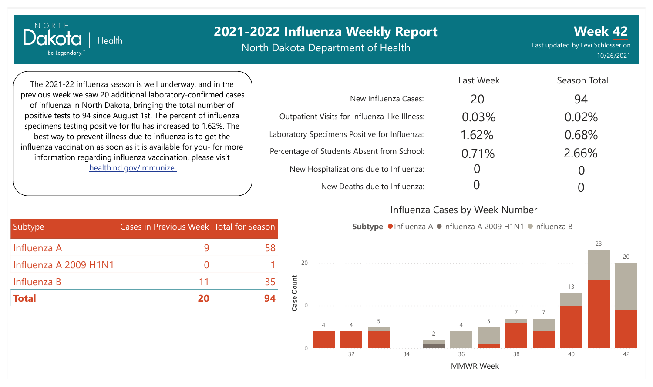North Dakota Department of Health

**Week 42** Last updated by Levi Schlosser on 10/26/2021

The 2021-22 influenza season is well underway, and in the previous week we saw 20 additional laboratory-confirmed cases of influenza in North Dakota, bringing the total number of positive tests to 94 since August 1st. The percent of influenza specimens testing positive for flu has increased to 1.62%. The best way to prevent illness due to influenza is to get the influenza vaccination as soon as it is available for you- for more information regarding influenza vaccination, please visit [health.nd.gov/immunize](http://health.nd.gov/immunize)

**Health** 

NORTH

Dakota

Be Legendary.

|                                               | Last Week | Season Total |
|-----------------------------------------------|-----------|--------------|
| New Influenza Cases:                          | 20        | 94           |
| Outpatient Visits for Influenza-like Illness: | 0.03%     | 0.02%        |
| Laboratory Specimens Positive for Influenza:  | 1.62%     | 0.68%        |
| Percentage of Students Absent from School:    | 0.71%     | 2.66%        |
| New Hospitalizations due to Influenza:        |           |              |
| New Deaths due to Influenza:                  |           |              |

#### Influenza Cases by Week Number

Subtype  $\bullet$  Influenza A  $\bullet$  Influenza A 2009 H1N1  $\bullet$  Influenza B



| Subtype               | Cases in Previous Week Total for Season |    |
|-----------------------|-----------------------------------------|----|
| Influenza A           |                                         | 58 |
| Influenza A 2009 H1N1 |                                         |    |
| Influenza B           | 11                                      | 35 |
| <b>Total</b>          | 20                                      | 94 |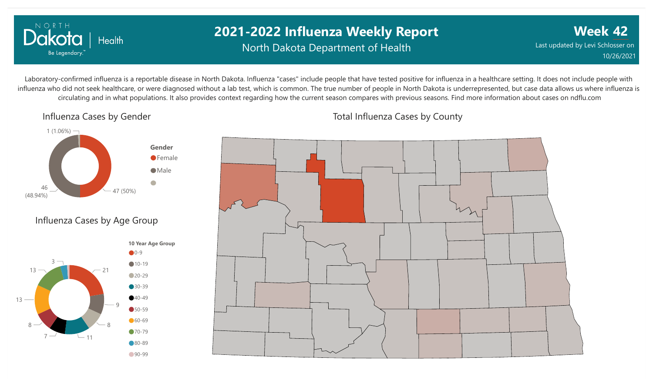

### **2021-2022 Influenza Weekly Report** North Dakota Department of Health

**Week 42** Last updated by Levi Schlosser on 10/26/2021

Laboratory-confirmed influenza is a reportable disease in North Dakota. Influenza "cases" include people that have tested positive for influenza in a healthcare setting. It does not include people with influenza who did not seek healthcare, or were diagnosed without a lab test, which is common. The true number of people in North Dakota is underrepresented, but case data allows us where influenza is circulating and in what populations. It also provides context regarding how the current season compares with previous seasons. Find more information about cases on ndflu.com

Influenza Cases by Gender







Total Influenza Cases by County

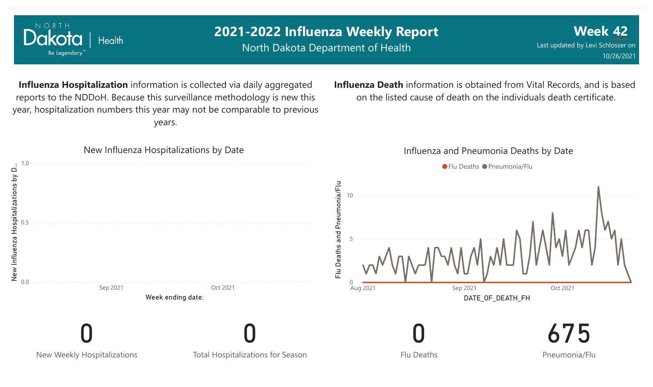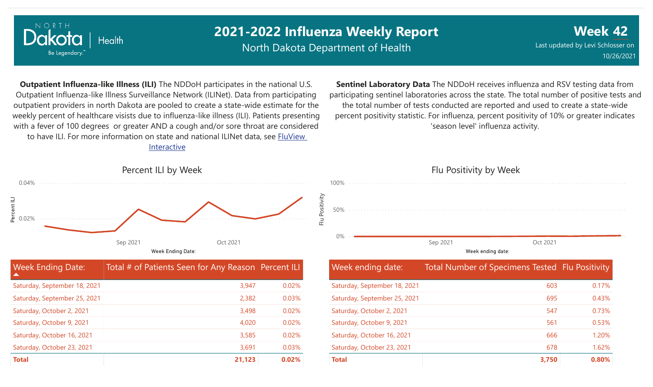

North Dakota Department of Health

**Week 42** Last updated by Levi Schlosser on 10/26/2021

**Outpatient Influenza-like Illness (ILI)** The NDDoH participates in the national U.S. Outpatient Influenza-like Illness Surveillance Network (ILINet). Data from participating outpatient providers in north Dakota are pooled to create a state-wide estimate for the weekly percent of healthcare visists due to influenza-like illness (ILI). Patients presenting with a fever of 100 degrees or greater AND a cough and/or sore throat are considered to have ILI. For more information [on state and national ILINet data, see FluView](http://fluview%20interactive/) Interactive

**Sentinel Laboratory Data** The NDDoH receives influenza and RSV testing data from participating sentinel laboratories across the state. The total number of positive tests and the total number of tests conducted are reported and used to create a state-wide percent positivity statistic. For influenza, percent positivity of 10% or greater indicates 'season level' influenza activity.



| <b>Week Ending Date:</b><br>$\blacktriangle$ | Total # of Patients Seen for Any Reason   Percent ILI |       |
|----------------------------------------------|-------------------------------------------------------|-------|
| Saturday, September 18, 2021                 | 3,947                                                 | 0.02% |
| Saturday, September 25, 2021                 | 2,382                                                 | 0.03% |
| Saturday, October 2, 2021                    | 3,498                                                 | 0.02% |
| Saturday, October 9, 2021                    | 4,020                                                 | 0.02% |
| Saturday, October 16, 2021                   | 3,585                                                 | 0.02% |
| Saturday, October 23, 2021                   | 3,691                                                 | 0.03% |
| <b>Total</b>                                 | 21,123                                                | 0.02% |

Flu Positivity by Week 0% 50% 100% Week ending date: Sep 2021 Oct 2021

| <b>Week ending date:</b>     | Total Number of Specimens Tested Flu Positivity |       |
|------------------------------|-------------------------------------------------|-------|
| Saturday, September 18, 2021 | 603                                             | 0.17% |
| Saturday, September 25, 2021 | 695                                             | 0.43% |
| Saturday, October 2, 2021    | 547                                             | 0.73% |
| Saturday, October 9, 2021    | 561                                             | 0.53% |
| Saturday, October 16, 2021   | 666                                             | 1.20% |
| Saturday, October 23, 2021   | 678                                             | 1.62% |
| <b>Total</b>                 | 3,750                                           | 0.80% |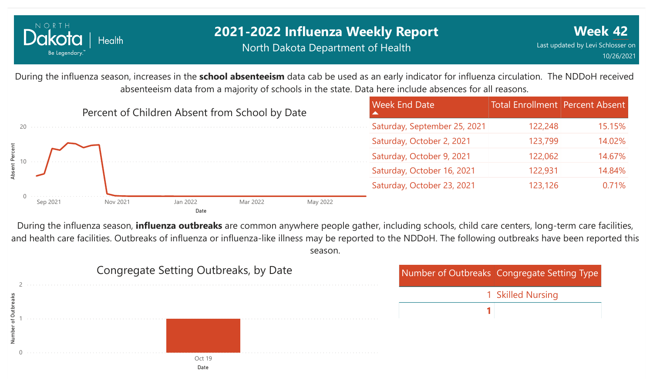

#### **2021-2022 Influenza Weekly Report** North Dakota Department of Health

During the influenza season, increases in the **school absenteeism** data cab be used as an early indicator for influenza circulation. The NDDoH received absenteeism data from a majority of schools in the state. Data here include absences for all reasons.



During the influenza season, **influenza outbreaks** are common anywhere people gather, including schools, child care centers, long-term care facilities, and health care facilities. Outbreaks of influenza or influenza-like illness may be reported to the NDDoH. The following outbreaks have been reported this season.

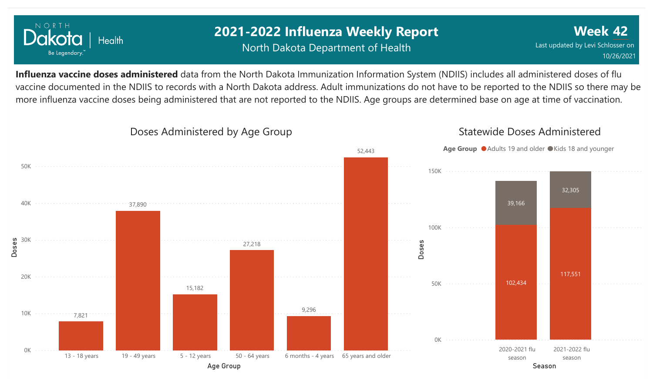

### **2021-2022 Influenza Weekly Report** North Dakota Department of Health

**Week 42** Last updated by Levi Schlosser on 10/26/2021

**Influenza vaccine doses administered** data from the North Dakota Immunization Information System (NDIIS) includes all administered doses of flu vaccine documented in the NDIIS to records with a North Dakota address. Adult immunizations do not have to be reported to the NDIIS so there may be more influenza vaccine doses being administered that are not reported to the NDIIS. Age groups are determined base on age at time of vaccination.

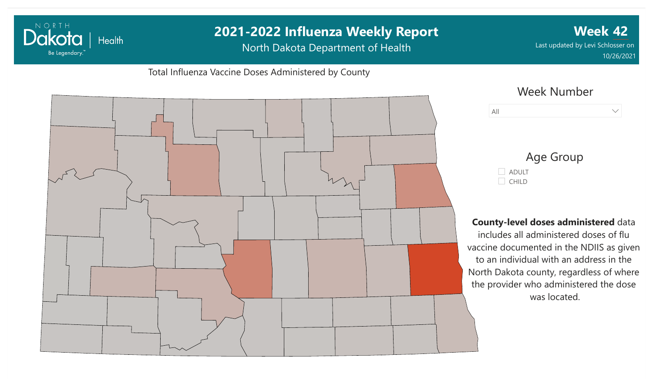### **2021-2022 Influenza Weekly Report Week 42** Dakota | Health North Dakota Department of Health Last updated by Levi Schlosser on Be Legendary. 10/26/2021Total Influenza Vaccine Doses Administered by County Week Number All  $\vee$ Age Group ADULT  $\Box$  CHILD **County-level doses administered** data includes all administered doses of flu vaccine documented in the NDIIS as given to an individual with an address in the North Dakota county, regardless of where the provider who administered the dose

was located.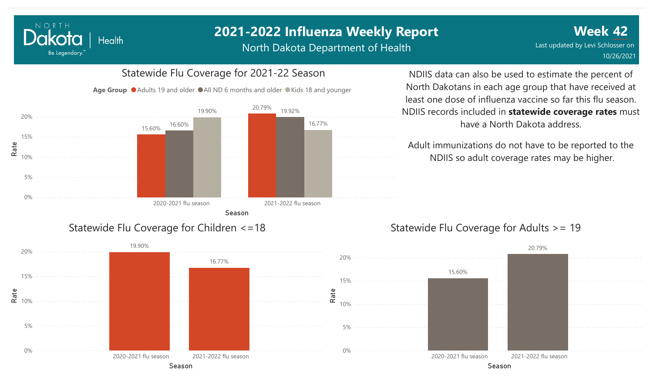North Dakota Department of Health

**Week 42** Last updated by Levi Schlosser on 10/26/2021

#### 0% 5% 10% 15% 20% Season Rate 2020-2021 flu season 2021-2022 flu season 15.60% 20.79% 16.60% 19.90% 19.92% 16.77%

Statewide Flu Coverage for 2021-22 Season

Age Group  $\bullet$  Adults 19 and older  $\bullet$  All ND 6 months and older  $\bullet$  Kids 18 and younger

Statewide Flu Coverage for Children <=18

NORTH

Dakota

Be Legendary.

Health



Adult immunizations do not have to be reported to the NDIIS so adult coverage rates may be higher.

#### Statewide Flu Coverage for Adults >= 19